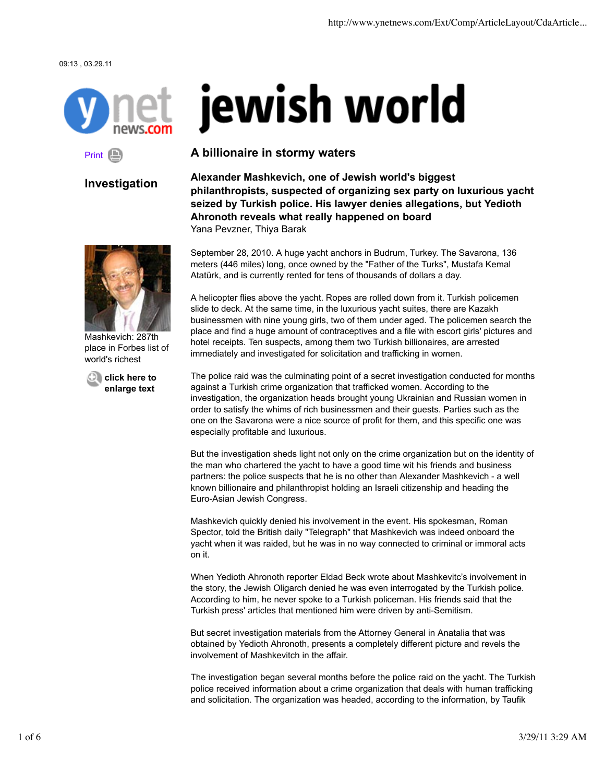09:13 , 03.29.11



## Print **B**

# **Investigation**



Mashkevich: 287th place in Forbes list of world's richest

**click here to enlarge text**

# jewish world

## **A billionaire in stormy waters**

**Alexander Mashkevich, one of Jewish world's biggest philanthropists, suspected of organizing sex party on luxurious yacht seized by Turkish police. His lawyer denies allegations, but Yedioth Ahronoth reveals what really happened on board** Yana Pevzner, Thiya Barak

September 28, 2010. A huge yacht anchors in Budrum, Turkey. The Savarona, 136 meters (446 miles) long, once owned by the "Father of the Turks", Mustafa Kemal Atatürk, and is currently rented for tens of thousands of dollars a day.

A helicopter flies above the yacht. Ropes are rolled down from it. Turkish policemen slide to deck. At the same time, in the luxurious yacht suites, there are Kazakh businessmen with nine young girls, two of them under aged. The policemen search the place and find a huge amount of contraceptives and a file with escort girls' pictures and hotel receipts. Ten suspects, among them two Turkish billionaires, are arrested immediately and investigated for solicitation and trafficking in women.

The police raid was the culminating point of a secret investigation conducted for months against a Turkish crime organization that trafficked women. According to the investigation, the organization heads brought young Ukrainian and Russian women in order to satisfy the whims of rich businessmen and their guests. Parties such as the one on the Savarona were a nice source of profit for them, and this specific one was especially profitable and luxurious.

But the investigation sheds light not only on the crime organization but on the identity of the man who chartered the yacht to have a good time wit his friends and business partners: the police suspects that he is no other than Alexander Mashkevich - a well known billionaire and philanthropist holding an Israeli citizenship and heading the Euro-Asian Jewish Congress.

Mashkevich quickly denied his involvement in the event. His spokesman, Roman Spector, told the British daily "Telegraph" that Mashkevich was indeed onboard the yacht when it was raided, but he was in no way connected to criminal or immoral acts on it.

When Yedioth Ahronoth reporter Eldad Beck wrote about Mashkevitc's involvement in the story, the Jewish Oligarch denied he was even interrogated by the Turkish police. According to him, he never spoke to a Turkish policeman. His friends said that the Turkish press' articles that mentioned him were driven by anti-Semitism.

But secret investigation materials from the Attorney General in Anatalia that was obtained by Yedioth Ahronoth, presents a completely different picture and revels the involvement of Mashkevitch in the affair.

The investigation began several months before the police raid on the yacht. The Turkish police received information about a crime organization that deals with human trafficking and solicitation. The organization was headed, according to the information, by Taufik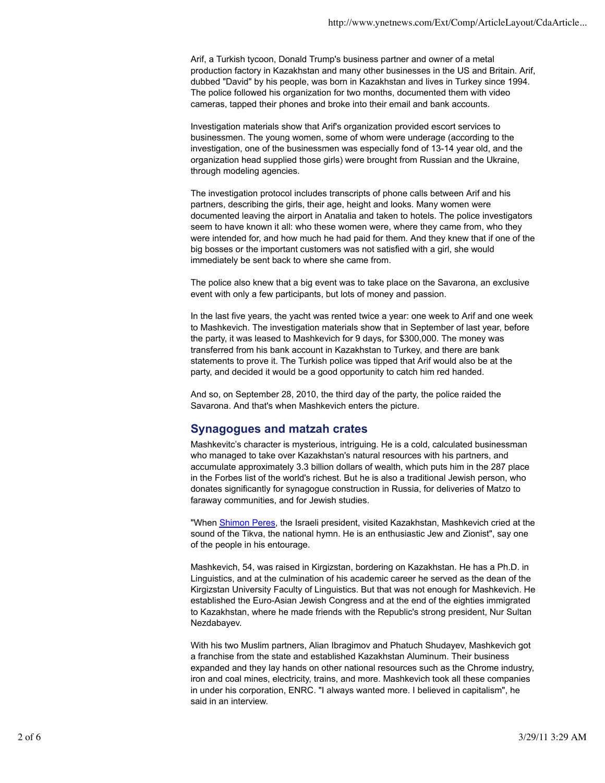Arif, a Turkish tycoon, Donald Trump's business partner and owner of a metal production factory in Kazakhstan and many other businesses in the US and Britain. Arif, dubbed "David" by his people, was born in Kazakhstan and lives in Turkey since 1994. The police followed his organization for two months, documented them with video cameras, tapped their phones and broke into their email and bank accounts.

Investigation materials show that Arif's organization provided escort services to businessmen. The young women, some of whom were underage (according to the investigation, one of the businessmen was especially fond of 13-14 year old, and the organization head supplied those girls) were brought from Russian and the Ukraine, through modeling agencies.

The investigation protocol includes transcripts of phone calls between Arif and his partners, describing the girls, their age, height and looks. Many women were documented leaving the airport in Anatalia and taken to hotels. The police investigators seem to have known it all: who these women were, where they came from, who they were intended for, and how much he had paid for them. And they knew that if one of the big bosses or the important customers was not satisfied with a girl, she would immediately be sent back to where she came from.

The police also knew that a big event was to take place on the Savarona, an exclusive event with only a few participants, but lots of money and passion.

In the last five years, the yacht was rented twice a year: one week to Arif and one week to Mashkevich. The investigation materials show that in September of last year, before the party, it was leased to Mashkevich for 9 days, for \$300,000. The money was transferred from his bank account in Kazakhstan to Turkey, and there are bank statements to prove it. The Turkish police was tipped that Arif would also be at the party, and decided it would be a good opportunity to catch him red handed.

And so, on September 28, 2010, the third day of the party, the police raided the Savarona. And that's when Mashkevich enters the picture.

#### **Synagogues and matzah crates**

Mashkevitc's character is mysterious, intriguing. He is a cold, calculated businessman who managed to take over Kazakhstan's natural resources with his partners, and accumulate approximately 3.3 billion dollars of wealth, which puts him in the 287 place in the Forbes list of the world's richest. But he is also a traditional Jewish person, who donates significantly for synagogue construction in Russia, for deliveries of Matzo to faraway communities, and for Jewish studies.

"When Shimon Peres, the Israeli president, visited Kazakhstan, Mashkevich cried at the sound of the Tikva, the national hymn. He is an enthusiastic Jew and Zionist", say one of the people in his entourage.

Mashkevich, 54, was raised in Kirgizstan, bordering on Kazakhstan. He has a Ph.D. in Linguistics, and at the culmination of his academic career he served as the dean of the Kirgizstan University Faculty of Linguistics. But that was not enough for Mashkevich. He established the Euro-Asian Jewish Congress and at the end of the eighties immigrated to Kazakhstan, where he made friends with the Republic's strong president, Nur Sultan Nezdabayev.

With his two Muslim partners, Alian Ibragimov and Phatuch Shudayev, Mashkevich got a franchise from the state and established Kazakhstan Aluminum. Their business expanded and they lay hands on other national resources such as the Chrome industry, iron and coal mines, electricity, trains, and more. Mashkevich took all these companies in under his corporation, ENRC. "I always wanted more. I believed in capitalism", he said in an interview.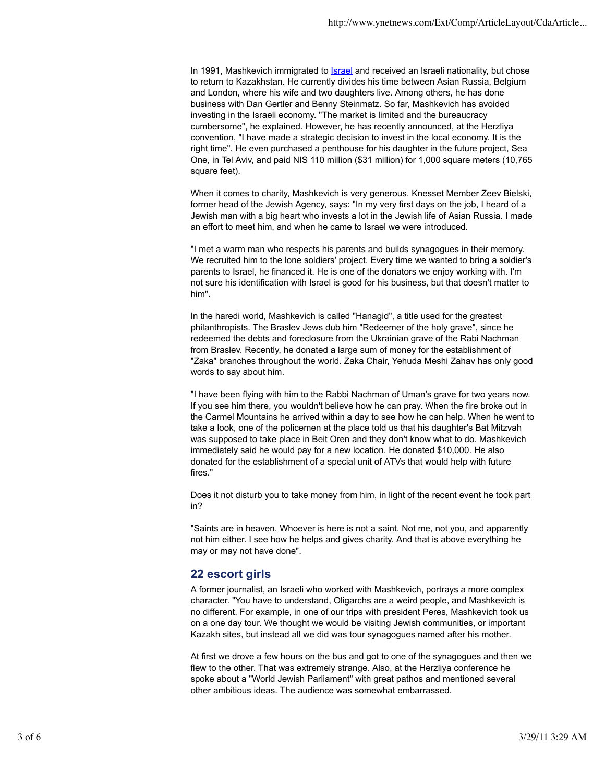In 1991, Mashkevich immigrated to Israel and received an Israeli nationality, but chose to return to Kazakhstan. He currently divides his time between Asian Russia, Belgium and London, where his wife and two daughters live. Among others, he has done business with Dan Gertler and Benny Steinmatz. So far, Mashkevich has avoided investing in the Israeli economy. "The market is limited and the bureaucracy cumbersome", he explained. However, he has recently announced, at the Herzliya convention, "I have made a strategic decision to invest in the local economy. It is the right time". He even purchased a penthouse for his daughter in the future project, Sea One, in Tel Aviv, and paid NIS 110 million (\$31 million) for 1,000 square meters (10,765 square feet).

When it comes to charity, Mashkevich is very generous. Knesset Member Zeev Bielski, former head of the Jewish Agency, says: "In my very first days on the job, I heard of a Jewish man with a big heart who invests a lot in the Jewish life of Asian Russia. I made an effort to meet him, and when he came to Israel we were introduced.

"I met a warm man who respects his parents and builds synagogues in their memory. We recruited him to the lone soldiers' project. Every time we wanted to bring a soldier's parents to Israel, he financed it. He is one of the donators we enjoy working with. I'm not sure his identification with Israel is good for his business, but that doesn't matter to him".

In the haredi world, Mashkevich is called "Hanagid", a title used for the greatest philanthropists. The Braslev Jews dub him "Redeemer of the holy grave", since he redeemed the debts and foreclosure from the Ukrainian grave of the Rabi Nachman from Braslev. Recently, he donated a large sum of money for the establishment of "Zaka" branches throughout the world. Zaka Chair, Yehuda Meshi Zahav has only good words to say about him.

"I have been flying with him to the Rabbi Nachman of Uman's grave for two years now. If you see him there, you wouldn't believe how he can pray. When the fire broke out in the Carmel Mountains he arrived within a day to see how he can help. When he went to take a look, one of the policemen at the place told us that his daughter's Bat Mitzvah was supposed to take place in Beit Oren and they don't know what to do. Mashkevich immediately said he would pay for a new location. He donated \$10,000. He also donated for the establishment of a special unit of ATVs that would help with future fires."

Does it not disturb you to take money from him, in light of the recent event he took part in?

"Saints are in heaven. Whoever is here is not a saint. Not me, not you, and apparently not him either. I see how he helps and gives charity. And that is above everything he may or may not have done".

#### **22 escort girls**

A former journalist, an Israeli who worked with Mashkevich, portrays a more complex character. "You have to understand, Oligarchs are a weird people, and Mashkevich is no different. For example, in one of our trips with president Peres, Mashkevich took us on a one day tour. We thought we would be visiting Jewish communities, or important Kazakh sites, but instead all we did was tour synagogues named after his mother.

At first we drove a few hours on the bus and got to one of the synagogues and then we flew to the other. That was extremely strange. Also, at the Herzliya conference he spoke about a "World Jewish Parliament" with great pathos and mentioned several other ambitious ideas. The audience was somewhat embarrassed.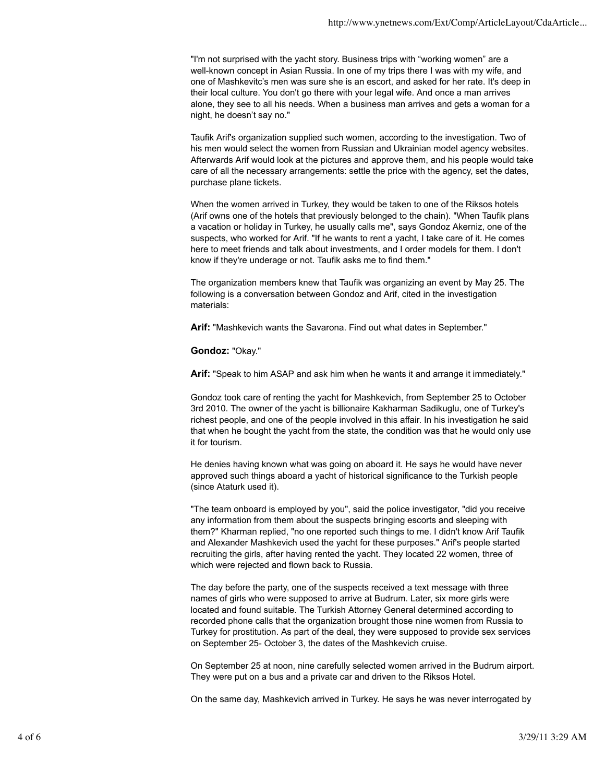"I'm not surprised with the yacht story. Business trips with "working women" are a well-known concept in Asian Russia. In one of my trips there I was with my wife, and one of Mashkevitc's men was sure she is an escort, and asked for her rate. It's deep in their local culture. You don't go there with your legal wife. And once a man arrives alone, they see to all his needs. When a business man arrives and gets a woman for a night, he doesn't say no."

Taufik Arif's organization supplied such women, according to the investigation. Two of his men would select the women from Russian and Ukrainian model agency websites. Afterwards Arif would look at the pictures and approve them, and his people would take care of all the necessary arrangements: settle the price with the agency, set the dates, purchase plane tickets.

When the women arrived in Turkey, they would be taken to one of the Riksos hotels (Arif owns one of the hotels that previously belonged to the chain). "When Taufik plans a vacation or holiday in Turkey, he usually calls me", says Gondoz Akerniz, one of the suspects, who worked for Arif. "If he wants to rent a yacht, I take care of it. He comes here to meet friends and talk about investments, and I order models for them. I don't know if they're underage or not. Taufik asks me to find them."

The organization members knew that Taufik was organizing an event by May 25. The following is a conversation between Gondoz and Arif, cited in the investigation materials:

**Arif:** "Mashkevich wants the Savarona. Find out what dates in September."

**Gondoz:** "Okay."

**Arif:** "Speak to him ASAP and ask him when he wants it and arrange it immediately."

Gondoz took care of renting the yacht for Mashkevich, from September 25 to October 3rd 2010. The owner of the yacht is billionaire Kakharman Sadikuglu, one of Turkey's richest people, and one of the people involved in this affair. In his investigation he said that when he bought the yacht from the state, the condition was that he would only use it for tourism.

He denies having known what was going on aboard it. He says he would have never approved such things aboard a yacht of historical significance to the Turkish people (since Ataturk used it).

"The team onboard is employed by you", said the police investigator, "did you receive any information from them about the suspects bringing escorts and sleeping with them?" Kharman replied, "no one reported such things to me. I didn't know Arif Taufik and Alexander Mashkevich used the yacht for these purposes." Arif's people started recruiting the girls, after having rented the yacht. They located 22 women, three of which were rejected and flown back to Russia.

The day before the party, one of the suspects received a text message with three names of girls who were supposed to arrive at Budrum. Later, six more girls were located and found suitable. The Turkish Attorney General determined according to recorded phone calls that the organization brought those nine women from Russia to Turkey for prostitution. As part of the deal, they were supposed to provide sex services on September 25- October 3, the dates of the Mashkevich cruise.

On September 25 at noon, nine carefully selected women arrived in the Budrum airport. They were put on a bus and a private car and driven to the Riksos Hotel.

On the same day, Mashkevich arrived in Turkey. He says he was never interrogated by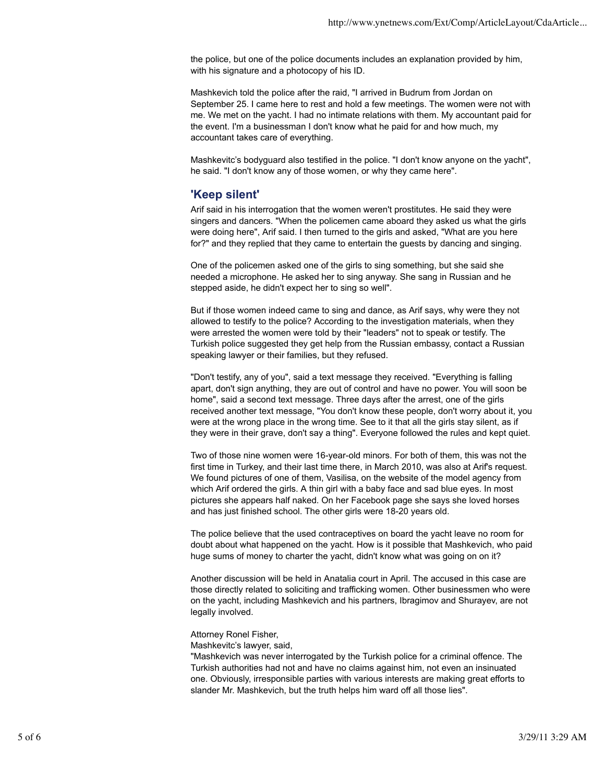the police, but one of the police documents includes an explanation provided by him, with his signature and a photocopy of his ID.

Mashkevich told the police after the raid, "I arrived in Budrum from Jordan on September 25. I came here to rest and hold a few meetings. The women were not with me. We met on the yacht. I had no intimate relations with them. My accountant paid for the event. I'm a businessman I don't know what he paid for and how much, my accountant takes care of everything.

Mashkevitc's bodyguard also testified in the police. "I don't know anyone on the yacht", he said. "I don't know any of those women, or why they came here".

## **'Keep silent'**

Arif said in his interrogation that the women weren't prostitutes. He said they were singers and dancers. "When the policemen came aboard they asked us what the girls were doing here", Arif said. I then turned to the girls and asked, "What are you here for?" and they replied that they came to entertain the guests by dancing and singing.

One of the policemen asked one of the girls to sing something, but she said she needed a microphone. He asked her to sing anyway. She sang in Russian and he stepped aside, he didn't expect her to sing so well".

But if those women indeed came to sing and dance, as Arif says, why were they not allowed to testify to the police? According to the investigation materials, when they were arrested the women were told by their "leaders" not to speak or testify. The Turkish police suggested they get help from the Russian embassy, contact a Russian speaking lawyer or their families, but they refused.

"Don't testify, any of you", said a text message they received. "Everything is falling apart, don't sign anything, they are out of control and have no power. You will soon be home", said a second text message. Three days after the arrest, one of the girls received another text message, "You don't know these people, don't worry about it, you were at the wrong place in the wrong time. See to it that all the girls stay silent, as if they were in their grave, don't say a thing". Everyone followed the rules and kept quiet.

Two of those nine women were 16-year-old minors. For both of them, this was not the first time in Turkey, and their last time there, in March 2010, was also at Arif's request. We found pictures of one of them, Vasilisa, on the website of the model agency from which Arif ordered the girls. A thin girl with a baby face and sad blue eyes. In most pictures she appears half naked. On her Facebook page she says she loved horses and has just finished school. The other girls were 18-20 years old.

The police believe that the used contraceptives on board the yacht leave no room for doubt about what happened on the yacht. How is it possible that Mashkevich, who paid huge sums of money to charter the yacht, didn't know what was going on on it?

Another discussion will be held in Anatalia court in April. The accused in this case are those directly related to soliciting and trafficking women. Other businessmen who were on the yacht, including Mashkevich and his partners, Ibragimov and Shurayev, are not legally involved.

Attorney Ronel Fisher,

Mashkevitc's lawyer, said,

"Mashkevich was never interrogated by the Turkish police for a criminal offence. The Turkish authorities had not and have no claims against him, not even an insinuated one. Obviously, irresponsible parties with various interests are making great efforts to slander Mr. Mashkevich, but the truth helps him ward off all those lies".